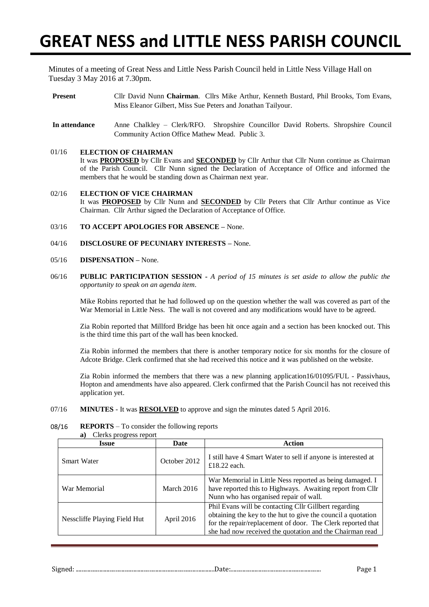# **GREAT NESS and LITTLE NESS PARISH COUNCIL**

Minutes of a meeting of Great Ness and Little Ness Parish Council held in Little Ness Village Hall on Tuesday 3 May 2016 at 7.30pm.

- **Present** Cllr David Nunn **Chairman**. Cllrs Mike Arthur, Kenneth Bustard, Phil Brooks, Tom Evans, Miss Eleanor Gilbert, Miss Sue Peters and Jonathan Tailyour.
- **In attendance** Anne Chalkley Clerk/RFO. Shropshire Councillor David Roberts. Shropshire Council Community Action Office Mathew Mead. Public 3.

### 01/16 **ELECTION OF CHAIRMAN**

It was **PROPOSED** by Cllr Evans and **SECONDED** by Cllr Arthur that Cllr Nunn continue as Chairman of the Parish Council. Cllr Nunn signed the Declaration of Acceptance of Office and informed the members that he would be standing down as Chairman next year.

#### 02/16 **ELECTION OF VICE CHAIRMAN** It was **PROPOSED** by Cllr Nunn and **SECONDED** by Cllr Peters that Cllr Arthur continue as Vice Chairman. Cllr Arthur signed the Declaration of Acceptance of Office.

- 03/16 **TO ACCEPT APOLOGIES FOR ABSENCE –** None.
- 04/16 **DISCLOSURE OF PECUNIARY INTERESTS –** None.
- 05/16 **DISPENSATION –** None.
- 06/16 **PUBLIC PARTICIPATION SESSION -** *A period of 15 minutes is set aside to allow the public the opportunity to speak on an agenda item*.

Mike Robins reported that he had followed up on the question whether the wall was covered as part of the War Memorial in Little Ness. The wall is not covered and any modifications would have to be agreed.

Zia Robin reported that Millford Bridge has been hit once again and a section has been knocked out. This is the third time this part of the wall has been knocked.

Zia Robin informed the members that there is another temporary notice for six months for the closure of Adcote Bridge. Clerk confirmed that she had received this notice and it was published on the website.

Zia Robin informed the members that there was a new planning application16/01095/FUL - Passivhaus, Hopton and amendments have also appeared. Clerk confirmed that the Parish Council has not received this application yet.

07/16 **MINUTES** - It was **RESOLVED** to approve and sign the minutes dated 5 April 2016.

### 08/16 **REPORTS** – To consider the following reports

**a)** Clerks progress report

| <b>Issue</b>                 | Date                                                                                                                                                                                                                                                           | <b>Action</b>                                                                                                                                                   |  |  |
|------------------------------|----------------------------------------------------------------------------------------------------------------------------------------------------------------------------------------------------------------------------------------------------------------|-----------------------------------------------------------------------------------------------------------------------------------------------------------------|--|--|
| <b>Smart Water</b>           | October 2012                                                                                                                                                                                                                                                   | I still have 4 Smart Water to sell if anyone is interested at<br>£18.22 each.                                                                                   |  |  |
| War Memorial                 | March 2016                                                                                                                                                                                                                                                     | War Memorial in Little Ness reported as being damaged. I<br>have reported this to Highways. Awaiting report from Cllr<br>Nunn who has organised repair of wall. |  |  |
| Nesscliffe Playing Field Hut | Phil Evans will be contacting Cllr Gillbert regarding<br>obtaining the key to the hut to give the council a quotation<br>April 2016<br>for the repair/replacement of door. The Clerk reported that<br>she had now received the quotation and the Chairman read |                                                                                                                                                                 |  |  |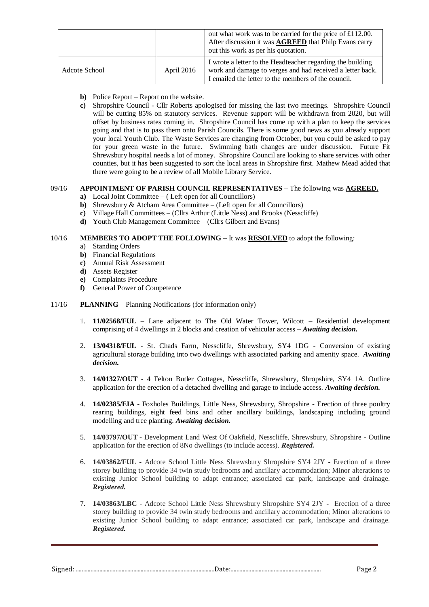|               |            | out what work was to be carried for the price of £112.00.<br>After discussion it was <b>AGREED</b> that Philp Evans carry<br>out this work as per his quotation.               |
|---------------|------------|--------------------------------------------------------------------------------------------------------------------------------------------------------------------------------|
| Adcote School | April 2016 | I wrote a letter to the Headteacher regarding the building<br>work and damage to verges and had received a letter back.<br>I emailed the letter to the members of the council. |

- **b)** Police Report Report on the website.
- **c)** Shropshire Council Cllr Roberts apologised for missing the last two meetings. Shropshire Council will be cutting 85% on statutory services. Revenue support will be withdrawn from 2020, but will offset by business rates coming in. Shropshire Council has come up with a plan to keep the services going and that is to pass them onto Parish Councils. There is some good news as you already support your local Youth Club. The Waste Services are changing from October, but you could be asked to pay for your green waste in the future. Swimming bath changes are under discussion. Future Fit Shrewsbury hospital needs a lot of money. Shropshire Council are looking to share services with other counties, but it has been suggested to sort the local areas in Shropshire first. Mathew Mead added that there were going to be a review of all Mobile Library Service.

## 09/16 **APPOINTMENT OF PARISH COUNCIL REPRESENTATIVES** – The following was **AGREED.**

- **a)** Local Joint Committee ( Left open for all Councillors)
- **b**) Shrewsbury & Atcham Area Committee (Left open for all Councillors)
- **c)** Village Hall Committees (Cllrs Arthur (Little Ness) and Brooks (Nesscliffe)
- **d)** Youth Club Management Committee (Cllrs Gilbert and Evans)

## 10/16 **MEMBERS TO ADOPT THE FOLLOWING –** It was **RESOLVED** to adopt the following:

- a) Standing Orders
- **b)** Financial Regulations
- **c)** Annual Risk Assessment
- **d)** Assets Register
- **e)** Complaints Procedure
- **f)** General Power of Competence
- 11/16 **PLANNING** Planning Notifications (for information only)
	- 1. **11/02568/FUL** Lane adjacent to The Old Water Tower, Wilcott Residential development comprising of 4 dwellings in 2 blocks and creation of vehicular access – *Awaiting decision.*
	- 2. **13/04318/FUL** St. Chads Farm, Nesscliffe, Shrewsbury, SY4 1DG Conversion of existing agricultural storage building into two dwellings with associated parking and amenity space. *Awaiting decision.*
	- 3. **14/01327/OUT** 4 Felton Butler Cottages, Nesscliffe, Shrewsbury, Shropshire, SY4 1A. Outline application for the erection of a detached dwelling and garage to include access. *Awaiting decision.*
	- 4. **14/02385/EIA** Foxholes Buildings, Little Ness, Shrewsbury, Shropshire Erection of three poultry rearing buildings, eight feed bins and other ancillary buildings, landscaping including ground modelling and tree planting. *Awaiting decision.*
	- 5. **14/03797/OUT** Development Land West Of Oakfield, Nesscliffe, Shrewsbury, Shropshire Outline application for the erection of 8No dwellings (to include access). *Registered.*
	- 6. **14/03862/FUL -** Adcote School Little Ness Shrewsbury Shropshire SY4 2JY **-** Erection of a three storey building to provide 34 twin study bedrooms and ancillary accommodation; Minor alterations to existing Junior School building to adapt entrance; associated car park, landscape and drainage. *Registered.*
	- 7. **14/03863/LBC** Adcote School Little Ness Shrewsbury Shropshire SY4 2JY **-** Erection of a three storey building to provide 34 twin study bedrooms and ancillary accommodation; Minor alterations to existing Junior School building to adapt entrance; associated car park, landscape and drainage. *Registered.*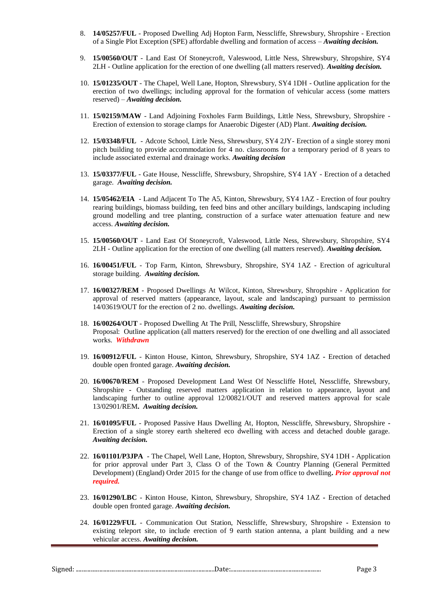- 8. **14/05257/FUL** Proposed Dwelling Adj Hopton Farm, Nesscliffe, Shrewsbury, Shropshire Erection of a Single Plot Exception (SPE) affordable dwelling and formation of access – *Awaiting decision.*
- 9. **15/00560/OUT** Land East Of Stoneycroft, Valeswood, Little Ness, Shrewsbury, Shropshire, SY4 2LH - Outline application for the erection of one dwelling (all matters reserved). *Awaiting decision.*
- 10. **15/01235/OUT** The Chapel, Well Lane, Hopton, Shrewsbury, SY4 1DH Outline application for the erection of two dwellings; including approval for the formation of vehicular access (some matters reserved) – *Awaiting decision.*
- 11. **15/02159/MAW** Land Adjoining Foxholes Farm Buildings, Little Ness, Shrewsbury, Shropshire Erection of extension to storage clamps for Anaerobic Digester (AD) Plant. *Awaiting decision.*
- 12. **15/03348/FUL**  Adcote School, Little Ness, Shrewsbury, SY4 2JY- Erection of a single storey moni pitch building to provide accommodation for 4 no. classrooms for a temporary period of 8 years to include associated external and drainage works. *Awaiting decision*
- 13. **15/03377/FUL** Gate House, Nesscliffe, Shrewsbury, Shropshire, SY4 1AY Erection of a detached garage. *Awaiting decision.*
- 14. **15/05462/EIA** Land Adjacent To The A5, Kinton, Shrewsbury, SY4 1AZ Erection of four poultry rearing buildings, biomass building, ten feed bins and other ancillary buildings, landscaping including ground modelling and tree planting, construction of a surface water attenuation feature and new access. *Awaiting decision.*
- 15. **15/00560/OUT** Land East Of Stoneycroft, Valeswood, Little Ness, Shrewsbury, Shropshire, SY4 2LH - Outline application for the erection of one dwelling (all matters reserved). *Awaiting decision.*
- 16. **16/00451/FUL** Top Farm, Kinton, Shrewsbury, Shropshire, SY4 1AZ Erection of agricultural storage building. *Awaiting decision.*
- 17. **16/00327/REM** Proposed Dwellings At Wilcot, Kinton, Shrewsbury, Shropshire Application for approval of reserved matters (appearance, layout, scale and landscaping) pursuant to permission 14/03619/OUT for the erection of 2 no. dwellings. *Awaiting decision.*
- 18. **16/00264/OUT** Proposed Dwelling At The Prill, Nesscliffe, Shrewsbury, Shropshire Proposal: Outline application (all matters reserved) for the erection of one dwelling and all associated works. *Withdrawn*
- 19. **16/00912/FUL** Kinton House, Kinton, Shrewsbury, Shropshire, SY4 1AZ **-** Erection of detached double open fronted garage. *Awaiting decision.*
- 20. **16/00670/REM** Proposed Development Land West Of Nesscliffe Hotel, Nesscliffe, Shrewsbury, Shropshire **-** Outstanding reserved matters application in relation to appearance, layout and landscaping further to outline approval 12/00821/OUT and reserved matters approval for scale 13/02901/REM**.** *Awaiting decision.*
- 21. **16/01095/FUL** Proposed Passive Haus Dwelling At, Hopton, Nesscliffe, Shrewsbury, Shropshire **-** Erection of a single storey earth sheltered eco dwelling with access and detached double garage. *Awaiting decision.*
- 22. **16/01101/P3JPA**  The Chapel, Well Lane, Hopton, Shrewsbury, Shropshire, SY4 1DH **-** Application for prior approval under Part 3, Class O of the Town & Country Planning (General Permitted Development) (England) Order 2015 for the change of use from office to dwelling**.** *Prior approval not required.*
- 23. **16/01290/LBC** Kinton House, Kinton, Shrewsbury, Shropshire, SY4 1AZ **-** Erection of detached double open fronted garage. *Awaiting decision.*
- 24. **16/01229/FUL** Communication Out Station, Nesscliffe, Shrewsbury, Shropshire **-** Extension to existing teleport site, to include erection of 9 earth station antenna, a plant building and a new vehicular access. *Awaiting decision.*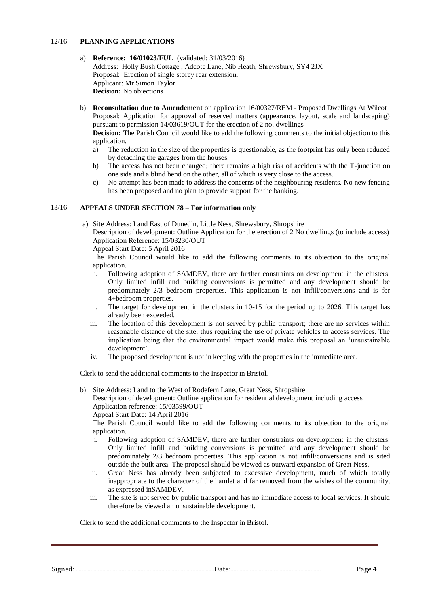### 12/16 **PLANNING APPLICATIONS** *–*

- a) **Reference: 16/01023/FUL** (validated: 31/03/2016) Address: Holly Bush Cottage , Adcote Lane, Nib Heath, Shrewsbury, SY4 2JX Proposal: Erection of single storey rear extension. Applicant: Mr Simon Taylor **Decision:** No objections
- b) **Reconsultation due to Amendement** on application 16/00327/REM Proposed Dwellings At Wilcot Proposal: Application for approval of reserved matters (appearance, layout, scale and landscaping) pursuant to permission 14/03619/OUT for the erection of 2 no. dwellings

**Decision:** The Parish Council would like to add the following comments to the initial objection to this application.

- a) The reduction in the size of the properties is questionable, as the footprint has only been reduced by detaching the garages from the houses.
- b) The access has not been changed; there remains a high risk of accidents with the T-junction on one side and a blind bend on the other, all of which is very close to the access.
- c) No attempt has been made to address the concerns of the neighbouring residents. No new fencing has been proposed and no plan to provide support for the banking.

## 13/16 **APPEALS UNDER SECTION 78 – For information only**

a) Site Address: Land East of Dunedin, Little Ness, Shrewsbury, Shropshire

Description of development: Outline Application for the erection of 2 No dwellings (to include access) Application Reference: 15/03230/OUT

Appeal Start Date: 5 April 2016

The Parish Council would like to add the following comments to its objection to the original application.

- i. Following adoption of SAMDEV, there are further constraints on development in the clusters. Only limited infill and building conversions is permitted and any development should be predominately 2/3 bedroom properties. This application is not infill/conversions and is for 4+bedroom properties.
- ii. The target for development in the clusters in 10-15 for the period up to 2026. This target has already been exceeded.
- iii. The location of this development is not served by public transport; there are no services within reasonable distance of the site, thus requiring the use of private vehicles to access services. The implication being that the environmental impact would make this proposal an 'unsustainable development'.
- iv. The proposed development is not in keeping with the properties in the immediate area.

Clerk to send the additional comments to the Inspector in Bristol.

b) Site Address: Land to the West of Rodefern Lane, Great Ness, Shropshire Description of development: Outline application for residential development including access Application reference: 15/03599/OUT Appeal Start Date: 14 April 2016

The Parish Council would like to add the following comments to its objection to the original application.

- i. Following adoption of SAMDEV, there are further constraints on development in the clusters. Only limited infill and building conversions is permitted and any development should be predominately 2/3 bedroom properties. This application is not infill/conversions and is sited outside the built area. The proposal should be viewed as outward expansion of Great Ness.
- ii. Great Ness has already been subjected to excessive development, much of which totally inappropriate to the character of the hamlet and far removed from the wishes of the community, as expressed inSAMDEV.
- iii. The site is not served by public transport and has no immediate access to local services. It should therefore be viewed an unsustainable development.

Clerk to send the additional comments to the Inspector in Bristol.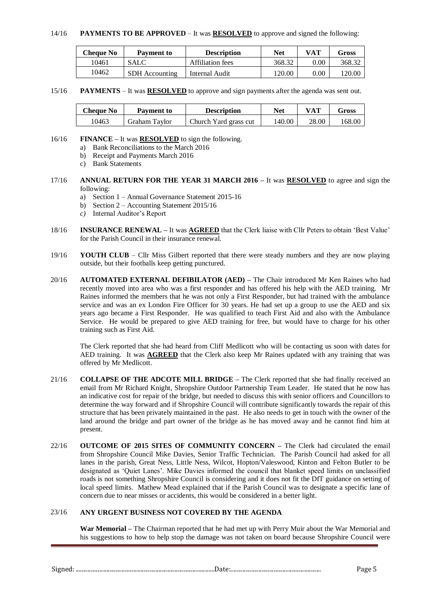#### 14/16 **PAYMENTS TO BE APPROVED** – It was **RESOLVED** to approve and signed the following:

| Cheque No | <b>Payment to</b>     | <b>Description</b> | Net    | VAT      | Gross  |
|-----------|-----------------------|--------------------|--------|----------|--------|
| 10461     | SALC                  | Affiliation fees   | 368.32 | $0.00\,$ | 368.32 |
| 10462     | <b>SDH</b> Accounting | Internal Audit     | 120.00 | $0.00\,$ | 120.00 |

#### 15/16 **PAYMENTS** – It was **RESOLVED** to approve and sign payments after the agenda was sent out.

| Cheaue No | <b>Payment to</b> | <b>Description</b>    | Net    |       | Gross  |
|-----------|-------------------|-----------------------|--------|-------|--------|
| '0463     | Graham Tavlor     | Church Yard grass cut | 140.00 | 28.00 | 168.00 |

#### 16/16 **FINANCE –** It was **RESOLVED** to sign the following.

- a) Bank Reconciliations to the March 2016
- b) Receipt and Payments March 2016
- c) Bank Statements
- 17/16 **ANNUAL RETURN FOR THE YEAR 31 MARCH 2016 –** It was **RESOLVED** to agree and sign the following:
	- a) Section 1 Annual Governance Statement 2015-16
	- b) Section 2 Accounting Statement 2015/16
	- *c)* Internal Auditor's Report
- 18/16 **INSURANCE RENEWAL –** It was **AGREED** that the Clerk liaise with Cllr Peters to obtain 'Best Value' for the Parish Council in their insurance renewal.
- 19/16 **YOUTH CLUB** Cllr Miss Gilbert reported that there were steady numbers and they are now playing outside, but their footballs keep getting punctured.
- 20/16 **AUTOMATED EXTERNAL DEFIBILATOR (AED) –** The Chair introduced Mr Ken Raines who had recently moved into area who was a first responder and has offered his help with the AED training. Mr Raines informed the members that he was not only a First Responder, but had trained with the ambulance service and was an ex London Fire Officer for 30 years. He had set up a group to use the AED and six years ago became a First Responder. He was qualified to teach First Aid and also with the Ambulance Service. He would be prepared to give AED training for free, but would have to charge for his other training such as First Aid.

The Clerk reported that she had heard from Cliff Medlicott who will be contacting us soon with dates for AED training. It was **AGREED** that the Clerk also keep Mr Raines updated with any training that was offered by Mr Medlicott.

- 21/16 **COLLAPSE OF THE ADCOTE MILL BRIDGE –** The Clerk reported that she had finally received an email from Mr Richard Knight, Shropshire Outdoor Partnership Team Leader. He stated that he now has an indicative cost for repair of the bridge, but needed to discuss this with senior officers and Councillors to determine the way forward and if Shropshire Council will contribute significantly towards the repair of this structure that has been privately maintained in the past. He also needs to get in touch with the owner of the land around the bridge and part owner of the bridge as he has moved away and he cannot find him at present.
- 22/16 **OUTCOME OF 2015 SITES OF COMMUNITY CONCERN –** The Clerk had circulated the email from Shropshire Council Mike Davies, Senior Traffic Technician. The Parish Council had asked for all lanes in the parish, Great Ness, Little Ness, Wilcot, Hopton/Valeswood, Kinton and Felton Butler to be designated as 'Quiet Lanes'. Mike Davies informed the council that blanket speed limits on unclassified roads is not something Shropshire Council is considering and it does not fit the DfT guidance on setting of local speed limits. Mathew Mead explained that if the Parish Council was to designate a specific lane of concern due to near misses or accidents, this would be considered in a better light.

### 23/16 **ANY URGENT BUSINESS NOT COVERED BY THE AGENDA**

**War Memorial –** The Chairman reported that he had met up with Perry Muir about the War Memorial and his suggestions to how to help stop the damage was not taken on board because Shropshire Council were